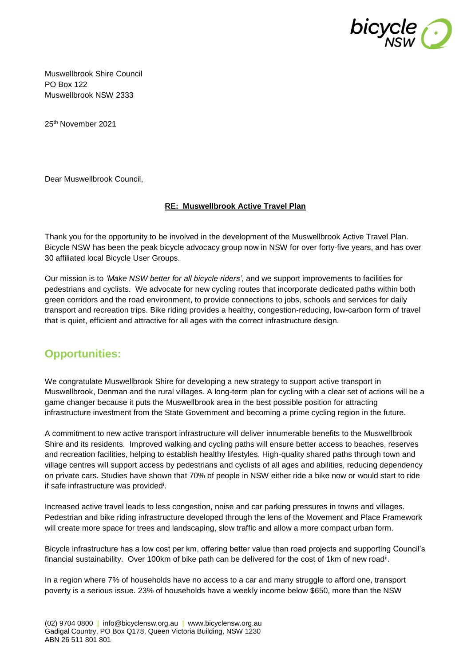

Muswellbrook Shire Council PO Box 122 Muswellbrook NSW 2333

25th November 2021

Dear Muswellbrook Council,

### **RE: Muswellbrook Active Travel Plan**

Thank you for the opportunity to be involved in the development of the Muswellbrook Active Travel Plan. Bicycle NSW has been the peak bicycle advocacy group now in NSW for over forty-five years, and has over 30 affiliated local Bicycle User Groups.

Our mission is to *'Make NSW better for all bicycle riders'*, and we support improvements to facilities for pedestrians and cyclists. We advocate for new cycling routes that incorporate dedicated paths within both green corridors and the road environment, to provide connections to jobs, schools and services for daily transport and recreation trips. Bike riding provides a healthy, congestion-reducing, low-carbon form of travel that is quiet, efficient and attractive for all ages with the correct infrastructure design.

## **Opportunities:**

We congratulate Muswellbrook Shire for developing a new strategy to support active transport in Muswellbrook, Denman and the rural villages. A long-term plan for cycling with a clear set of actions will be a game changer because it puts the Muswellbrook area in the best possible position for attracting infrastructure investment from the State Government and becoming a prime cycling region in the future.

A commitment to new active transport infrastructure will deliver innumerable benefits to the Muswellbrook Shire and its residents. Improved walking and cycling paths will ensure better access to beaches, reserves and recreation facilities, helping to establish healthy lifestyles. High-quality shared paths through town and village centres will support access by pedestrians and cyclists of all ages and abilities, reducing dependency on private cars. Studies have shown that 70% of people in NSW either ride a bike now or would start to ride if safe infrastructure was provided<sup>i</sup>.

Increased active travel leads to less congestion, noise and car parking pressures in towns and villages. Pedestrian and bike riding infrastructure developed through the lens of the Movement and Place Framework will create more space for trees and landscaping, slow traffic and allow a more compact urban form.

Bicycle infrastructure has a low cost per km, offering better value than road projects and supporting Council's financial sustainability. Over 100km of bike path can be delivered for the cost of 1km of new road<sup>ii</sup>.

In a region where 7% of households have no access to a car and many struggle to afford one, transport poverty is a serious issue. 23% of households have a weekly income below \$650, more than the NSW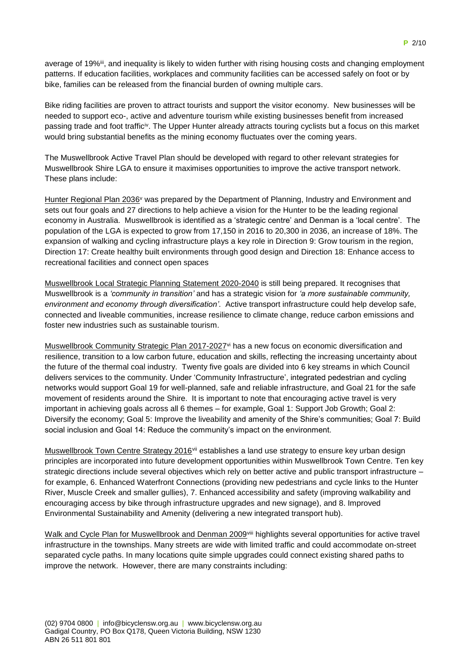average of 19%<sup>iii</sup>, and inequality is likely to widen further with rising housing costs and changing employment patterns. If education facilities, workplaces and community facilities can be accessed safely on foot or by bike, families can be released from the financial burden of owning multiple cars.

Bike riding facilities are proven to attract tourists and support the visitor economy. New businesses will be needed to support eco-, active and adventure tourism while existing businesses benefit from increased passing trade and foot traffic<sup>iv</sup>. The Upper Hunter already attracts touring cyclists but a focus on this market would bring substantial benefits as the mining economy fluctuates over the coming years.

The Muswellbrook Active Travel Plan should be developed with regard to other relevant strategies for Muswellbrook Shire LGA to ensure it maximises opportunities to improve the active transport network. These plans include:

Hunter Regional Plan 2036<sup>v</sup> was prepared by the Department of Planning, Industry and Environment and sets out four goals and 27 directions to help achieve a vision for the Hunter to be the leading regional economy in Australia. Muswellbrook is identified as a 'strategic centre' and Denman is a 'local centre'. The population of the LGA is expected to grow from 17,150 in 2016 to 20,300 in 2036, an increase of 18%. The expansion of walking and cycling infrastructure plays a key role in Direction 9: Grow tourism in the region, Direction 17: Create healthy built environments through good design and Direction 18: Enhance access to recreational facilities and connect open spaces

Muswellbrook Local Strategic Planning Statement 2020-2040 is still being prepared. It recognises that Muswellbrook is a *'community in transition'* and has a strategic vision for *'a more sustainable community, environment and economy through diversification'*. Active transport infrastructure could help develop safe, connected and liveable communities, increase resilience to climate change, reduce carbon emissions and foster new industries such as sustainable tourism.

Muswellbrook Community Strategic Plan 2017-2027<sup>vi</sup> has a new focus on economic diversification and resilience, transition to a low carbon future, education and skills, reflecting the increasing uncertainty about the future of the thermal coal industry. Twenty five goals are divided into 6 key streams in which Council delivers services to the community. Under 'Community Infrastructure', integrated pedestrian and cycling networks would support Goal 19 for well-planned, safe and reliable infrastructure, and Goal 21 for the safe movement of residents around the Shire. It is important to note that encouraging active travel is very important in achieving goals across all 6 themes – for example, Goal 1: Support Job Growth; Goal 2: Diversify the economy; Goal 5: Improve the liveability and amenity of the Shire's communities; Goal 7: Build social inclusion and Goal 14: Reduce the community's impact on the environment.

Muswellbrook Town Centre Strategy 2016<sup>vii</sup> establishes a land use strategy to ensure key urban design principles are incorporated into future development opportunities within Muswellbrook Town Centre. Ten key strategic directions include several objectives which rely on better active and public transport infrastructure – for example, 6. Enhanced Waterfront Connections (providing new pedestrians and cycle links to the Hunter River, Muscle Creek and smaller gullies), 7. Enhanced accessibility and safety (improving walkability and encouraging access by bike through infrastructure upgrades and new signage), and 8. Improved Environmental Sustainability and Amenity (delivering a new integrated transport hub).

Walk and Cycle Plan for Muswellbrook and Denman 2009<sup>viii</sup> highlights several opportunities for active travel infrastructure in the townships. Many streets are wide with limited traffic and could accommodate on-street separated cycle paths. In many locations quite simple upgrades could connect existing shared paths to improve the network. However, there are many constraints including: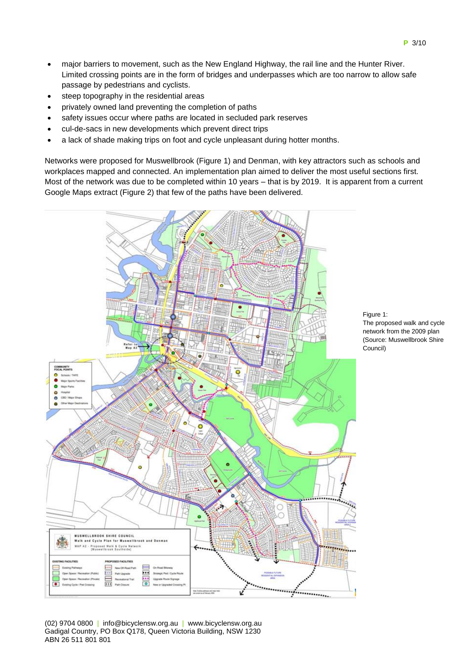- major barriers to movement, such as the New England Highway, the rail line and the Hunter River. Limited crossing points are in the form of bridges and underpasses which are too narrow to allow safe passage by pedestrians and cyclists.
- steep topography in the residential areas
- privately owned land preventing the completion of paths
- safety issues occur where paths are located in secluded park reserves
- cul-de-sacs in new developments which prevent direct trips
- a lack of shade making trips on foot and cycle unpleasant during hotter months.

Networks were proposed for Muswellbrook (Figure 1) and Denman, with key attractors such as schools and workplaces mapped and connected. An implementation plan aimed to deliver the most useful sections first. Most of the network was due to be completed within 10 years – that is by 2019. It is apparent from a current Google Maps extract (Figure 2) that few of the paths have been delivered.





(02) 9704 0800 | info@bicyclensw.org.au | www.bicyclensw.org.au Gadigal Country, PO Box Q178, Queen Victoria Building, NSW 1230 ABN 26 511 801 801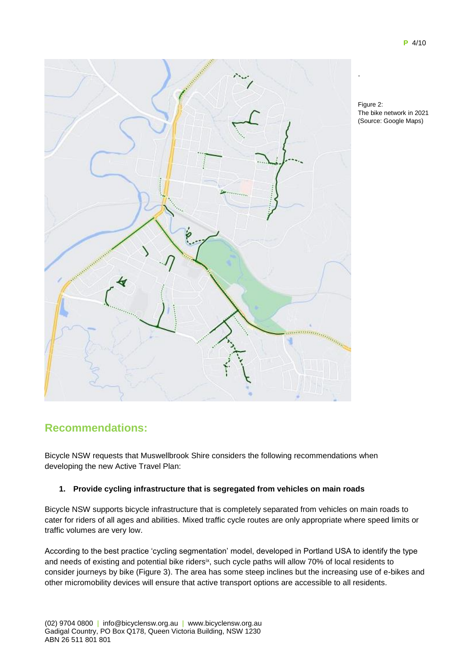

Figure 2: The bike network in 2021 (Source: Google Maps)

## **Recommendations:**

Bicycle NSW requests that Muswellbrook Shire considers the following recommendations when developing the new Active Travel Plan:

### **1. Provide cycling infrastructure that is segregated from vehicles on main roads**

Bicycle NSW supports bicycle infrastructure that is completely separated from vehicles on main roads to cater for riders of all ages and abilities. Mixed traffic cycle routes are only appropriate where speed limits or traffic volumes are very low.

According to the best practice 'cycling segmentation' model, developed in Portland USA to identify the type and needs of existing and potential bike riders<sup>ix</sup>, such cycle paths will allow 70% of local residents to consider journeys by bike (Figure 3). The area has some steep inclines but the increasing use of e-bikes and other micromobility devices will ensure that active transport options are accessible to all residents.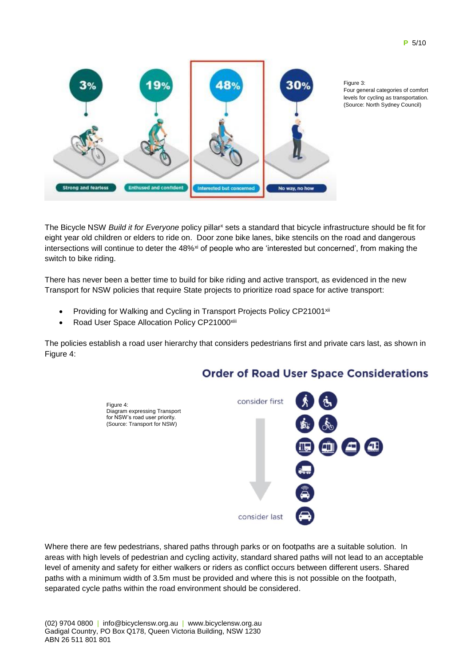

Figure 3: Four general categories of comfort levels for cycling as transportation. (Source: North Sydney Council)

The Bicycle NSW *Build it for Everyone* policy pillar<sup>x</sup> sets a standard that bicycle infrastructure should be fit for eight year old children or elders to ride on. Door zone bike lanes, bike stencils on the road and dangerous intersections will continue to deter the  $48\%$ <sup>xi</sup> of people who are 'interested but concerned', from making the switch to bike riding.

There has never been a better time to build for bike riding and active transport, as evidenced in the new Transport for NSW policies that require State projects to prioritize road space for active transport:

- Providing for Walking and Cycling in Transport Projects Policy CP21001<sup>xii</sup>
- Road User Space Allocation Policy CP21000xiii

The policies establish a road user hierarchy that considers pedestrians first and private cars last, as shown in Figure 4:

## **Order of Road User Space Considerations**



Where there are few pedestrians, shared paths through parks or on footpaths are a suitable solution. In areas with high levels of pedestrian and cycling activity, standard shared paths will not lead to an acceptable level of amenity and safety for either walkers or riders as conflict occurs between different users. Shared paths with a minimum width of 3.5m must be provided and where this is not possible on the footpath, separated cycle paths within the road environment should be considered.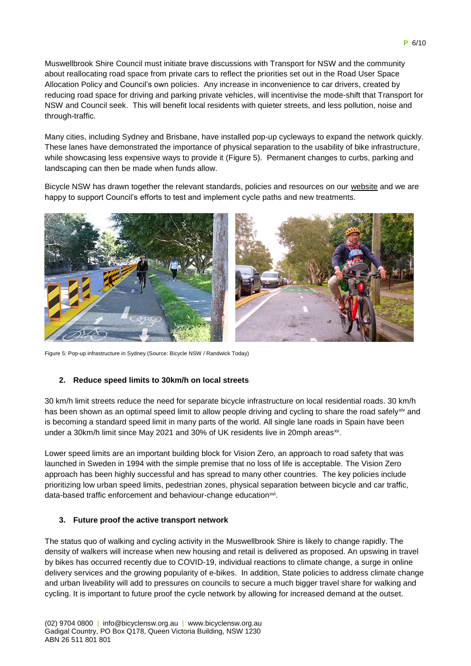Muswellbrook Shire Council must initiate brave discussions with Transport for NSW and the community about reallocating road space from private cars to reflect the priorities set out in the Road User Space Allocation Policy and Council's own policies. Any increase in inconvenience to car drivers, created by reducing road space for driving and parking private vehicles, will incentivise the mode-shift that Transport for NSW and Council seek. This will benefit local residents with quieter streets, and less pollution, noise and through-traffic.

Many cities, including Sydney and Brisbane, have installed pop-up cycleways to expand the network quickly. These lanes have demonstrated the importance of physical separation to the usability of bike infrastructure, while showcasing less expensive ways to provide it (Figure 5). Permanent changes to curbs, parking and landscaping can then be made when funds allow.

Bicycle NSW has drawn together the relevant standards, policies and resources on our [website](https://bicyclensw.org.au/rays-corner/) and we are happy to support Council's efforts to test and implement cycle paths and new treatments.



Figure 5: Pop-up infrastructure in Sydney (Source: Bicycle NSW / Randwick Today)

### **2. Reduce speed limits to 30km/h on local streets**

30 km/h limit streets reduce the need for separate bicycle infrastructure on local residential roads. 30 km/h has been shown as an optimal speed limit to allow people driving and cycling to share the road safelyxiv and is becoming a standard speed limit in many parts of the world. All single lane roads in Spain have been under a 30km/h limit since May 2021 and 30% of UK residents live in 20mph areas<sup>xy</sup>.

Lower speed limits are an important building block for Vision Zero, an approach to road safety that was launched in Sweden in 1994 with the simple premise that no loss of life is acceptable. The Vision Zero approach has been highly successful and has spread to many other countries. The key policies include prioritizing low urban speed limits, pedestrian zones, physical separation between bicycle and car traffic, data-based traffic enforcement and behaviour-change education<sup>xvi</sup>.

#### **3. Future proof the active transport network**

The status quo of walking and cycling activity in the Muswellbrook Shire is likely to change rapidly. The density of walkers will increase when new housing and retail is delivered as proposed. An upswing in travel by bikes has occurred recently due to COVID-19, individual reactions to climate change, a surge in online delivery services and the growing popularity of e-bikes. In addition, State policies to address climate change and urban liveability will add to pressures on councils to secure a much bigger travel share for walking and cycling. It is important to future proof the cycle network by allowing for increased demand at the outset.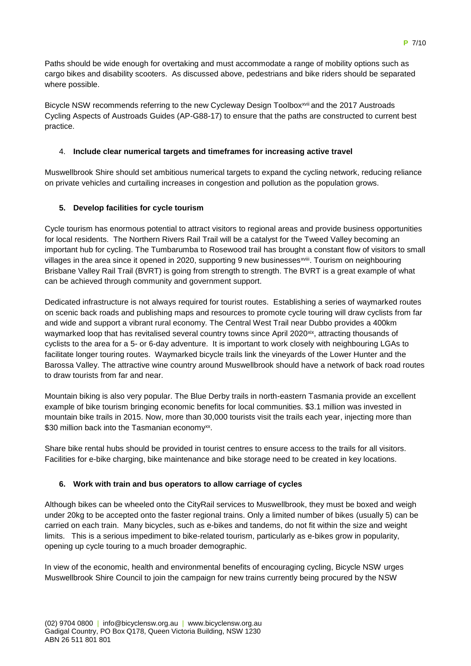Paths should be wide enough for overtaking and must accommodate a range of mobility options such as cargo bikes and disability scooters. As discussed above, pedestrians and bike riders should be separated where possible.

Bicycle NSW recommends referring to the new Cycleway Design Toolbox<sup>xvii</sup> and the 2017 Austroads Cycling Aspects of Austroads Guides (AP-G88-17) to ensure that the paths are constructed to current best practice.

### 4. **Include clear numerical targets and timeframes for increasing active travel**

Muswellbrook Shire should set ambitious numerical targets to expand the cycling network, reducing reliance on private vehicles and curtailing increases in congestion and pollution as the population grows.

### **5. Develop facilities for cycle tourism**

Cycle tourism has enormous potential to attract visitors to regional areas and provide business opportunities for local residents. The Northern Rivers Rail Trail will be a catalyst for the Tweed Valley becoming an important hub for cycling. The Tumbarumba to Rosewood trail has brought a constant flow of visitors to small villages in the area since it opened in 2020, supporting 9 new businesses<sup>xviii</sup>. Tourism on neighbouring [Brisbane Valley Rail Trail](https://www.tmr.qld.gov.au/bvrt) (BVRT) is going from strength to strength. The BVRT is a great example of what can be achieved through community and government support.

Dedicated infrastructure is not always required for tourist routes. Establishing a series of waymarked routes on scenic back roads and publishing maps and resources to promote cycle touring will draw cyclists from far and wide and support a vibrant rural economy. The Central West Trail near Dubbo provides a 400km waymarked loop that has revitalised several country towns since April 2020<sup>xix</sup>, attracting thousands of cyclists to the area for a 5- or 6-day adventure. It is important to work closely with neighbouring LGAs to facilitate longer touring routes. Waymarked bicycle trails link the vineyards of the Lower Hunter and the Barossa Valley. The attractive wine country around Muswellbrook should have a network of back road routes to draw tourists from far and near.

Mountain biking is also very popular. The Blue Derby trails in north-eastern Tasmania provide an excellent example of bike tourism bringing economic benefits for local communities. \$3.1 million was invested in mountain bike trails in 2015. Now, more than 30,000 tourists visit the trails each year, injecting more than \$30 million back into the Tasmanian economy<sup>xx</sup>.

Share bike rental hubs should be provided in tourist centres to ensure access to the trails for all visitors. Facilities for e-bike charging, bike maintenance and bike storage need to be created in key locations.

### **6. Work with train and bus operators to allow carriage of cycles**

Although bikes can be wheeled onto the CityRail services to Muswellbrook, they must be boxed and weigh under 20kg to be accepted onto the faster regional trains. Only a limited number of bikes (usually 5) can be carried on each train. Many bicycles, such as e-bikes and tandems, do not fit within the size and weight limits. This is a serious impediment to bike-related tourism, particularly as e-bikes grow in popularity, opening up cycle touring to a much broader demographic.

In view of the economic, health and environmental benefits of encouraging cycling, Bicycle NSW urges Muswellbrook Shire Council to join the campaign for new trains currently being procured by the NSW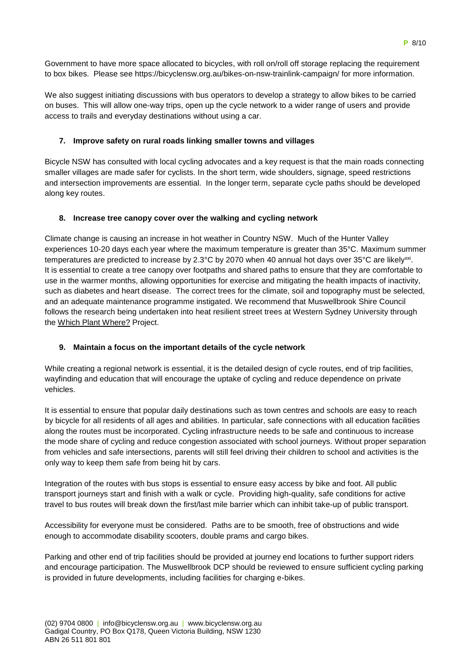Government to have more space allocated to bicycles, with roll on/roll off storage replacing the requirement to box bikes. Please see<https://bicyclensw.org.au/bikes-on-nsw-trainlink-campaign/> for more information.

We also suggest initiating discussions with bus operators to develop a strategy to allow bikes to be carried on buses. This will allow one-way trips, open up the cycle network to a wider range of users and provide access to trails and everyday destinations without using a car.

### **7. Improve safety on rural roads linking smaller towns and villages**

Bicycle NSW has consulted with local cycling advocates and a key request is that the main roads connecting smaller villages are made safer for cyclists. In the short term, wide shoulders, signage, speed restrictions and intersection improvements are essential. In the longer term, separate cycle paths should be developed along key routes.

### **8. Increase tree canopy cover over the walking and cycling network**

Climate change is causing an increase in hot weather in Country NSW. Much of the Hunter Valley experiences 10-20 days each year where the maximum temperature is greater than 35°C. Maximum summer temperatures are predicted to increase by 2.3°C by 2070 when 40 annual hot days over 35°C are likely<sup>xxi</sup>. It is essential to create a tree canopy over footpaths and shared paths to ensure that they are comfortable to use in the warmer months, allowing opportunities for exercise and mitigating the health impacts of inactivity, such as diabetes and heart disease. The correct trees for the climate, soil and topography must be selected, and an adequate maintenance programme instigated. We recommend that Muswellbrook Shire Council follows the research being undertaken into heat resilient street trees at Western Sydney University through the [Which Plant](https://www.westernsydney.edu.au/environmental_sustainability/home/living_labs/which_plant_where) Where? Project.

### **9. Maintain a focus on the important details of the cycle network**

While creating a regional network is essential, it is the detailed design of cycle routes, end of trip facilities, wayfinding and education that will encourage the uptake of cycling and reduce dependence on private vehicles.

It is essential to ensure that popular daily destinations such as town centres and schools are easy to reach by bicycle for all residents of all ages and abilities. In particular, safe connections with all education facilities along the routes must be incorporated. Cycling infrastructure needs to be safe and continuous to increase the mode share of cycling and reduce congestion associated with school journeys. Without proper separation from vehicles and safe intersections, parents will still feel driving their children to school and activities is the only way to keep them safe from being hit by cars.

Integration of the routes with bus stops is essential to ensure easy access by bike and foot. All public transport journeys start and finish with a walk or cycle. Providing high-quality, safe conditions for active travel to bus routes will break down the first/last mile barrier which can inhibit take-up of public transport.

Accessibility for everyone must be considered. Paths are to be smooth, free of obstructions and wide enough to accommodate disability scooters, double prams and cargo bikes.

Parking and other end of trip facilities should be provided at journey end locations to further support riders and encourage participation. The Muswellbrook DCP should be reviewed to ensure sufficient cycling parking is provided in future developments, including facilities for charging e-bikes.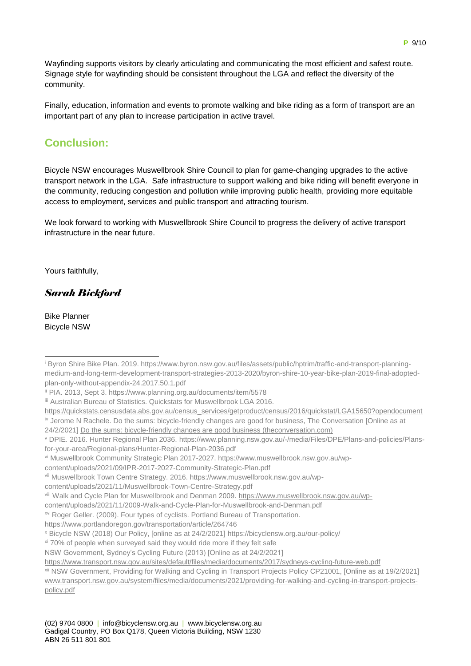Wayfinding supports visitors by clearly articulating and communicating the most efficient and safest route. Signage style for wayfinding should be consistent throughout the LGA and reflect the diversity of the community.

Finally, education, information and events to promote walking and bike riding as a form of transport are an important part of any plan to increase participation in active travel.

# **Conclusion:**

Bicycle NSW encourages Muswellbrook Shire Council to plan for game-changing upgrades to the active transport network in the LGA. Safe infrastructure to support walking and bike riding will benefit everyone in the community, reducing congestion and pollution while improving public health, providing more equitable access to employment, services and public transport and attracting tourism.

We look forward to working with Muswellbrook Shire Council to progress the delivery of active transport infrastructure in the near future.

Yours faithfully,

## *Sarah Bickford*

Bike Planner Bicycle NSW

content/uploads/2021/09/IPR-2017-2027-Community-Strategic-Plan.pdf

<sup>&</sup>lt;sup>i</sup> Byron Shire Bike Plan. 2019. https://www.byron.nsw.gov.au/files/assets/public/hptrim/traffic-and-transport-planningmedium-and-long-term-development-transport-strategies-2013-2020/byron-shire-10-year-bike-plan-2019-final-adoptedplan-only-without-appendix-24.2017.50.1.pdf 1

ii PIA. 2013, Sept 3. https://www.planning.org.au/documents/item/5578

iii Australian Bureau of Statistics. Quickstats for Muswellbrook LGA 2016.

[https://quickstats.censusdata.abs.gov.au/census\\_services/getproduct/census/2016/quickstat/LGA15650?opendocument](https://quickstats.censusdata.abs.gov.au/census_services/getproduct/census/2016/quickstat/LGA15650?opendocument) iv Jerome N [Rachele.](https://theconversation.com/profiles/jerome-n-rachele-251972) Do the sums: bicycle-friendly changes are good for business, The Conversation [Online as at 24/2/2021[\] Do the sums: bicycle-friendly changes are good business \(theconversation.com\)](https://theconversation.com/do-the-sums-bicycle-friendly-changes-are-good-business-58213)

<sup>v</sup> DPIE. 2016. Hunter Regional Plan 2036. https://www.planning.nsw.gov.au/-/media/Files/DPE/Plans-and-policies/Plansfor-your-area/Regional-plans/Hunter-Regional-Plan-2036.pdf

vi Muswellbrook Community Strategic Plan 2017-2027. https://www.muswellbrook.nsw.gov.au/wp-

vii Muswellbrook Town Centre Strategy. 2016. https://www.muswellbrook.nsw.gov.au/wp-

content/uploads/2021/11/Muswellbrook-Town-Centre-Strategy.pdf

viii Walk and Cycle Plan for Muswellbrook and Denman 2009[. https://www.muswellbrook.nsw.gov.au/wp-](https://www.muswellbrook.nsw.gov.au/wp-content/uploads/2021/11/2009-Walk-and-Cycle-Plan-for-Muswellbrook-and-Denman.pdf)

[content/uploads/2021/11/2009-Walk-and-Cycle-Plan-for-Muswellbrook-and-Denman.pdf](https://www.muswellbrook.nsw.gov.au/wp-content/uploads/2021/11/2009-Walk-and-Cycle-Plan-for-Muswellbrook-and-Denman.pdf)

xvi Roger Geller. (2009). Four types of cyclists. Portland Bureau of Transportation.

https://www.portlandoregon.gov/transportation/article/264746

<sup>x</sup> Bicycle NSW (2018) Our Policy, [online as at 24/2/2021]<https://bicyclensw.org.au/our-policy/>

 $x$ <sup>i</sup> 70% of people when surveyed said they would ride more if they felt safe

NSW Government, Sydney's Cycling Future (2013) [Online as at 24/2/2021]

<https://www.transport.nsw.gov.au/sites/default/files/media/documents/2017/sydneys-cycling-future-web.pdf>

xii NSW Government, Providing for Walking and Cycling in Transport Projects Policy CP21001, [Online as at 19/2/2021] [www.transport.nsw.gov.au/system/files/media/documents/2021/providing-for-walking-and-cycling-in-transport-projects](http://www.transport.nsw.gov.au/system/files/media/documents/2021/providing-for-walking-and-cycling-in-transport-projects-policy.pdf)[policy.pdf](http://www.transport.nsw.gov.au/system/files/media/documents/2021/providing-for-walking-and-cycling-in-transport-projects-policy.pdf)